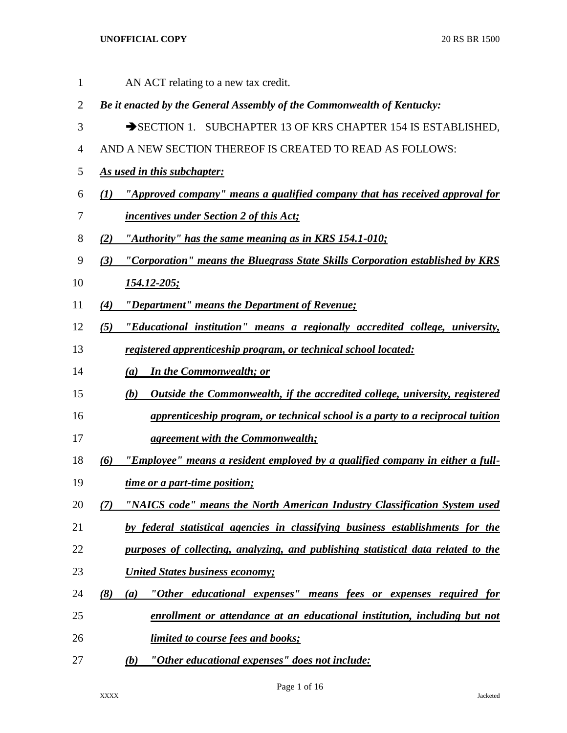AN ACT relating to a new tax credit. *Be it enacted by the General Assembly of the Commonwealth of Kentucky:* 3 SECTION 1. SUBCHAPTER 13 OF KRS CHAPTER 154 IS ESTABLISHED, AND A NEW SECTION THEREOF IS CREATED TO READ AS FOLLOWS: *As used in this subchapter: (1) "Approved company" means a qualified company that has received approval for incentives under Section 2 of this Act; (2) "Authority" has the same meaning as in KRS 154.1-010; (3) "Corporation" means the Bluegrass State Skills Corporation established by KRS 154.12-205; (4) "Department" means the Department of Revenue; (5) "Educational institution" means a regionally accredited college, university, registered apprenticeship program, or technical school located: (a) In the Commonwealth; or (b) Outside the Commonwealth, if the accredited college, university, registered apprenticeship program, or technical school is a party to a reciprocal tuition agreement with the Commonwealth; (6) "Employee" means a resident employed by a qualified company in either a full- time or a part-time position; (7) "NAICS code" means the North American Industry Classification System used by federal statistical agencies in classifying business establishments for the purposes of collecting, analyzing, and publishing statistical data related to the United States business economy; (8) (a) "Other educational expenses" means fees or expenses required for enrollment or attendance at an educational institution, including but not limited to course fees and books; (b) "Other educational expenses" does not include:*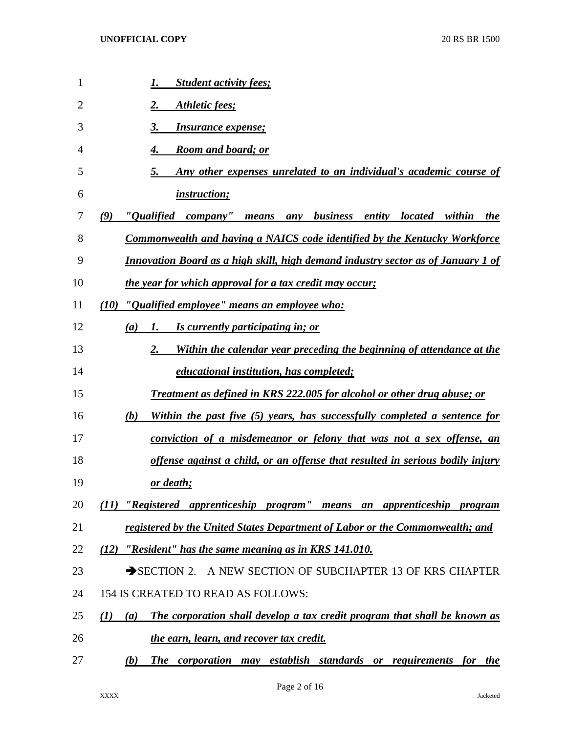| 1  | <b>Student activity fees;</b><br>1.                                                                           |
|----|---------------------------------------------------------------------------------------------------------------|
| 2  | Athletic fees;                                                                                                |
| 3  | 3.<br><i>Insurance expense;</i>                                                                               |
| 4  | <b>Room and board; or</b><br>4.                                                                               |
| 5  | Any other expenses unrelated to an individual's academic course of<br>5.                                      |
| 6  | <i>instruction;</i>                                                                                           |
| 7  | "Oualified<br>company"<br>(9)<br><i>business</i><br>entity<br><i>located</i><br>within<br>means<br>any<br>the |
| 8  | <b>Commonwealth and having a NAICS code identified by the Kentucky Workforce</b>                              |
| 9  | <b>Innovation Board as a high skill, high demand industry sector as of January 1 of</b>                       |
| 10 | the year for which approval for a tax credit may occur;                                                       |
| 11 | (10)<br>"Qualified employee" means an employee who:                                                           |
| 12 | Is currently participating in; or<br>(a)<br>1.                                                                |
| 13 | Within the calendar year preceding the beginning of attendance at the<br>2.                                   |
| 14 | <i>educational institution, has completed;</i>                                                                |
| 15 | <b>Treatment as defined in KRS 222.005 for alcohol or other drug abuse; or</b>                                |
| 16 | Within the past five (5) years, has successfully completed a sentence for<br>(b)                              |
| 17 | conviction of a misdemeanor or felony that was not a sex offense, an                                          |
| 18 | offense against a child, or an offense that resulted in serious bodily injury                                 |
| 19 | <u>or death;</u>                                                                                              |
| 20 | "Registered apprenticeship program" means an apprenticeship program<br>(II)                                   |
| 21 | registered by the United States Department of Labor or the Commonwealth; and                                  |
| 22 | "Resident" has the same meaning as in KRS 141.010.<br>(12)                                                    |
| 23 | SECTION 2. A NEW SECTION OF SUBCHAPTER 13 OF KRS CHAPTER                                                      |
| 24 | 154 IS CREATED TO READ AS FOLLOWS:                                                                            |
| 25 | The corporation shall develop a tax credit program that shall be known as<br>$\mathcal{L}(I)$<br>(a)          |
| 26 | the earn, learn, and recover tax credit.                                                                      |
| 27 | The corporation may establish standards or requirements for the<br>(b)                                        |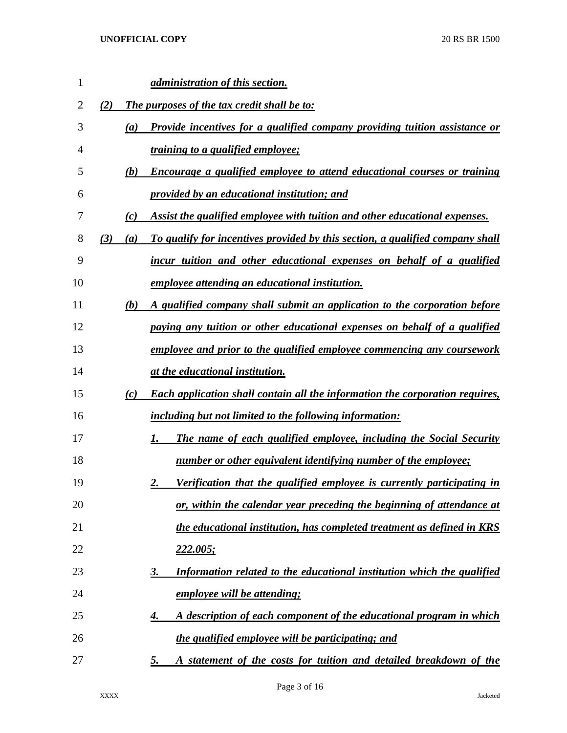| 1              |            | <i>administration of this section.</i>                                              |
|----------------|------------|-------------------------------------------------------------------------------------|
| $\overline{2}$ | (2)        | The purposes of the tax credit shall be to:                                         |
| 3              | (a)        | Provide incentives for a qualified company providing tuition assistance or          |
| 4              |            | <i>training to a qualified employee;</i>                                            |
| 5              | (b)        | Encourage a qualified employee to attend educational courses or training            |
| 6              |            | provided by an educational institution; and                                         |
| 7              | (c)        | Assist the qualified employee with tuition and other educational expenses.          |
| 8              | (3)<br>(a) | To qualify for incentives provided by this section, a qualified company shall       |
| 9              |            | incur tuition and other educational expenses on behalf of a qualified               |
| 10             |            | <i>employee attending an educational institution.</i>                               |
| 11             | (b)        | A qualified company shall submit an application to the corporation before           |
| 12             |            | paying any tuition or other educational expenses on behalf of a qualified           |
| 13             |            | employee and prior to the qualified employee commencing any coursework              |
| 14             |            | at the educational institution.                                                     |
| 15             | (c)        | <b>Each application shall contain all the information the corporation requires,</b> |
| 16             |            | <i>including but not limited to the following information:</i>                      |
| 17             |            | The name of each qualified employee, including the Social Security<br>1.            |
| 18             |            | number or other equivalent identifying number of the employee;                      |
| 19             |            | <u>Verification that the qualified employee is currently participating in</u><br>2. |
| 20             |            | or, within the calendar year preceding the beginning of attendance at               |
| 21             |            | the educational institution, has completed treatment as defined in KRS              |
| 22             |            | <u>222.005;</u>                                                                     |
| 23             |            | Information related to the educational institution which the qualified<br><u>3.</u> |
| 24             |            | <u>employee will be attending;</u>                                                  |
| 25             |            | A description of each component of the educational program in which<br>4.           |
| 26             |            | the qualified employee will be participating; and                                   |
| 27             |            | A statement of the costs for tuition and detailed breakdown of the<br><u>5.</u>     |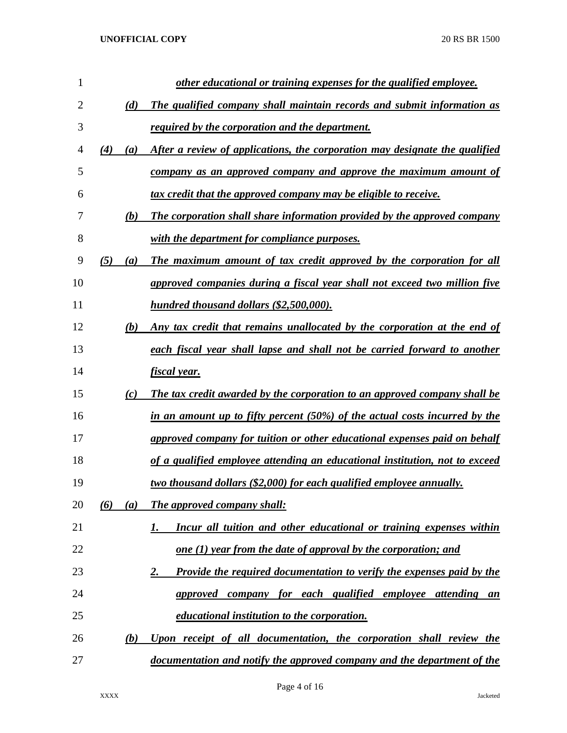| 1              |            | other educational or training expenses for the qualified employee.                 |
|----------------|------------|------------------------------------------------------------------------------------|
| $\overline{2}$ | (d)        | The qualified company shall maintain records and submit information as             |
| 3              |            | <i>required by the corporation and the department.</i>                             |
| 4              | (4)<br>(a) | After a review of applications, the corporation may designate the qualified        |
| 5              |            | company as an approved company and approve the maximum amount of                   |
| 6              |            | <u>tax credit that the approved company may be eligible to receive.</u>            |
| 7              | (b)        | The corporation shall share information provided by the approved company           |
| 8              |            | with the department for compliance purposes.                                       |
| 9              | (5)<br>(a) | The maximum amount of tax credit approved by the corporation for all               |
| 10             |            | approved companies during a fiscal year shall not exceed two million five          |
| 11             |            | hundred thousand dollars (\$2,500,000).                                            |
| 12             | (b)        | Any tax credit that remains unallocated by the corporation at the end of           |
| 13             |            | each fiscal year shall lapse and shall not be carried forward to another           |
| 14             |            | fiscal year.                                                                       |
| 15             | (c)        | The tax credit awarded by the corporation to an approved company shall be          |
| 16             |            | in an amount up to fifty percent (50%) of the actual costs incurred by the         |
| 17             |            | approved company for tuition or other educational expenses paid on behalf          |
| 18             |            | of a qualified employee attending an educational institution, not to exceed        |
| 19             |            | <u>two thousand dollars (\$2,000) for each qualified employee annually.</u>        |
| 20             | (6)<br>(a) | The approved company shall:                                                        |
| 21             |            | Incur all tuition and other educational or training expenses within<br>1.          |
| 22             |            | <u>one (1) year from the date of approval by the corporation; and</u>              |
| 23             |            | <b>Provide the required documentation to verify the expenses paid by the</b><br>2. |
| 24             |            | approved company for each qualified employee attending an                          |
| 25             |            | <u>educational institution to the corporation.</u>                                 |
| 26             | (b)        | Upon receipt of all documentation, the corporation shall review the                |
| 27             |            | documentation and notify the approved company and the department of the            |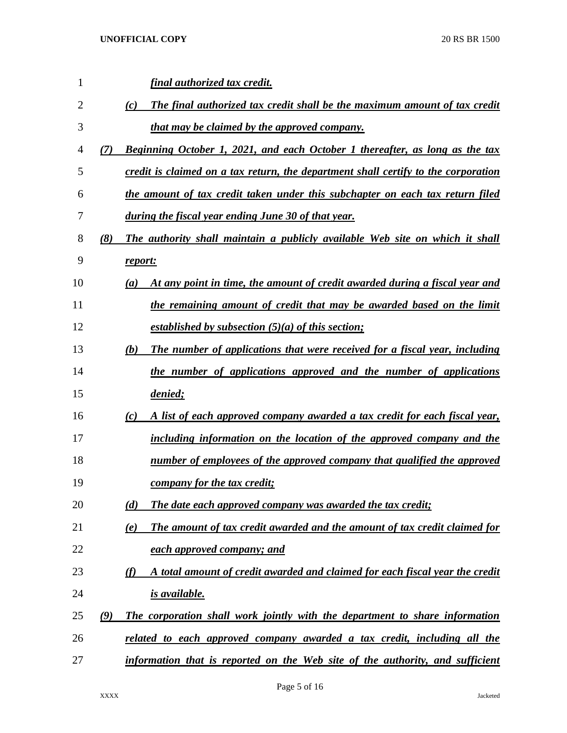| 1  |     | <u>final authorized tax credit.</u>                                                              |
|----|-----|--------------------------------------------------------------------------------------------------|
| 2  |     | The final authorized tax credit shall be the maximum amount of tax credit<br>(c)                 |
| 3  |     | <u>that may be claimed by the approved company.</u>                                              |
| 4  | (7) | <b>Beginning October 1, 2021, and each October 1 thereafter, as long as the tax</b>              |
| 5  |     | credit is claimed on a tax return, the department shall certify to the corporation               |
| 6  |     | the amount of tax credit taken under this subchapter on each tax return filed                    |
| 7  |     | during the fiscal year ending June 30 of that year.                                              |
| 8  | (8) | The authority shall maintain a publicly available Web site on which it shall                     |
| 9  |     | report:                                                                                          |
| 10 |     | At any point in time, the amount of credit awarded during a fiscal year and<br>$\left( a\right)$ |
| 11 |     | the remaining amount of credit that may be awarded based on the limit                            |
| 12 |     | established by subsection $(5)(a)$ of this section;                                              |
| 13 |     | The number of applications that were received for a fiscal year, including<br>(b)                |
| 14 |     | the number of applications approved and the number of applications                               |
| 15 |     | denied;                                                                                          |
| 16 |     | A list of each approved company awarded a tax credit for each fiscal year,<br>$\left( c\right)$  |
| 17 |     | including information on the location of the approved company and the                            |
| 18 |     | number of employees of the approved company that qualified the approved                          |
| 19 |     | company for the tax credit;                                                                      |
| 20 |     | The date each approved company was awarded the tax credit;<br>(d)                                |
| 21 |     | The amount of tax credit awarded and the amount of tax credit claimed for<br>(e)                 |
| 22 |     | each approved company; and                                                                       |
| 23 |     | A total amount of credit awarded and claimed for each fiscal year the credit<br>(f)              |
| 24 |     | is available.                                                                                    |
| 25 | (9) | The corporation shall work jointly with the department to share information                      |
| 26 |     | related to each approved company awarded a tax credit, including all the                         |
| 27 |     | information that is reported on the Web site of the authority, and sufficient                    |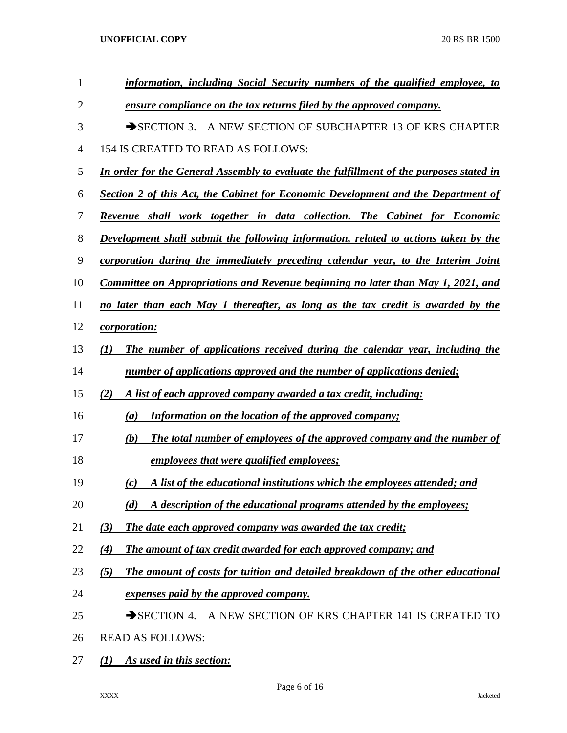| 1              | information, including Social Security numbers of the qualified employee, to            |
|----------------|-----------------------------------------------------------------------------------------|
| $\overline{2}$ | <u>ensure compliance on the tax returns filed by the approved company.</u>              |
| 3              | A NEW SECTION OF SUBCHAPTER 13 OF KRS CHAPTER<br>$\rightarrow$ SECTION 3.               |
| 4              | 154 IS CREATED TO READ AS FOLLOWS:                                                      |
| 5              | In order for the General Assembly to evaluate the fulfillment of the purposes stated in |
| 6              | Section 2 of this Act, the Cabinet for Economic Development and the Department of       |
| 7              | Revenue shall work together in data collection. The Cabinet for Economic                |
| 8              | Development shall submit the following information, related to actions taken by the     |
| 9              | corporation during the immediately preceding calendar year, to the Interim Joint        |
| 10             | Committee on Appropriations and Revenue beginning no later than May 1, 2021, and        |
| 11             | no later than each May 1 thereafter, as long as the tax credit is awarded by the        |
| 12             | <i>corporation:</i>                                                                     |
| 13             | The number of applications received during the calendar year, including the<br>(1)      |
| 14             | number of applications approved and the number of applications denied;                  |
| 15             | A list of each approved company awarded a tax credit, including:<br>(2)                 |
| 16             | <b>Information on the location of the approved company;</b><br>$\left(a\right)$         |
| 17             | The total number of employees of the approved company and the number of<br>(b)          |
| 18             | employees that were qualified employees;                                                |
| 19             | A list of the educational institutions which the employees attended; and<br>(c)         |
| 20             | A description of the educational programs attended by the employees;<br>(d)             |
| 21             | The date each approved company was awarded the tax credit;<br>(3)                       |
| 22             | The amount of tax credit awarded for each approved company; and<br>$\left( 4\right)$    |
| 23             | (5)<br>The amount of costs for tuition and detailed breakdown of the other educational  |
| 24             | expenses paid by the approved company.                                                  |
| 25             | $\rightarrow$ SECTION 4.<br>A NEW SECTION OF KRS CHAPTER 141 IS CREATED TO              |
| 26             | <b>READ AS FOLLOWS:</b>                                                                 |
| 27             | As used in this section:<br>$\mathcal{L}(I)$                                            |

Page 6 of 16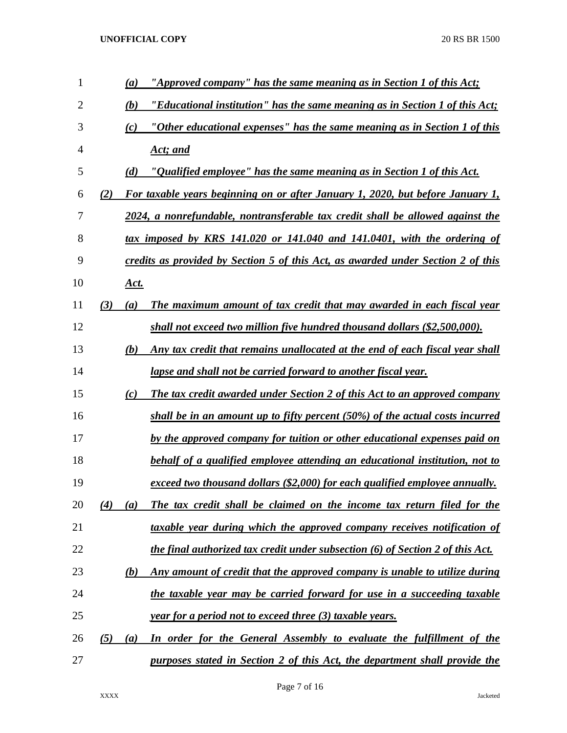| 1              |     | $\left(a\right)$ | "Approved company" has the same meaning as in Section 1 of this Act;             |
|----------------|-----|------------------|----------------------------------------------------------------------------------|
| $\overline{2}$ |     | (b)              | "Educational institution" has the same meaning as in Section 1 of this Act;      |
| 3              |     | (c)              | "Other educational expenses" has the same meaning as in Section 1 of this        |
| 4              |     |                  | Act; and                                                                         |
| 5              |     | (d)              | <u>"Qualified employee" has the same meaning as in Section 1 of this Act.</u>    |
| 6              | (2) |                  | For taxable years beginning on or after January 1, 2020, but before January 1,   |
| 7              |     |                  | 2024, a nonrefundable, nontransferable tax credit shall be allowed against the   |
| 8              |     |                  | tax imposed by KRS 141.020 or 141.040 and 141.0401, with the ordering of         |
| 9              |     |                  | credits as provided by Section 5 of this Act, as awarded under Section 2 of this |
| 10             |     | <u>Act.</u>      |                                                                                  |
| 11             | (3) | $\left(a\right)$ | The maximum amount of tax credit that may awarded in each fiscal year            |
| 12             |     |                  | shall not exceed two million five hundred thousand dollars (\$2,500,000).        |
| 13             |     | (b)              | Any tax credit that remains unallocated at the end of each fiscal year shall     |
| 14             |     |                  | <u>lapse and shall not be carried forward to another fiscal year.</u>            |
| 15             |     | (c)              | The tax credit awarded under Section 2 of this Act to an approved company        |
| 16             |     |                  | shall be in an amount up to fifty percent (50%) of the actual costs incurred     |
| 17             |     |                  | by the approved company for tuition or other educational expenses paid on        |
| 18             |     |                  | behalf of a qualified employee attending an educational institution, not to      |
| 19             |     |                  | exceed two thousand dollars (\$2,000) for each qualified employee annually.      |
| 20             | (4) | (a)              | The tax credit shall be claimed on the income tax return filed for the           |
| 21             |     |                  | taxable year during which the approved company receives notification of          |
| 22             |     |                  | the final authorized tax credit under subsection (6) of Section 2 of this Act.   |
| 23             |     | (b)              | Any amount of credit that the approved company is unable to utilize during       |
| 24             |     |                  | the taxable year may be carried forward for use in a succeeding taxable          |
| 25             |     |                  | <u>year for a period not to exceed three (3) taxable years.</u>                  |
| 26             | (5) | (a)              | <u>In order for the General Assembly to evaluate the fulfillment of the</u>      |
| 27             |     |                  | purposes stated in Section 2 of this Act, the department shall provide the       |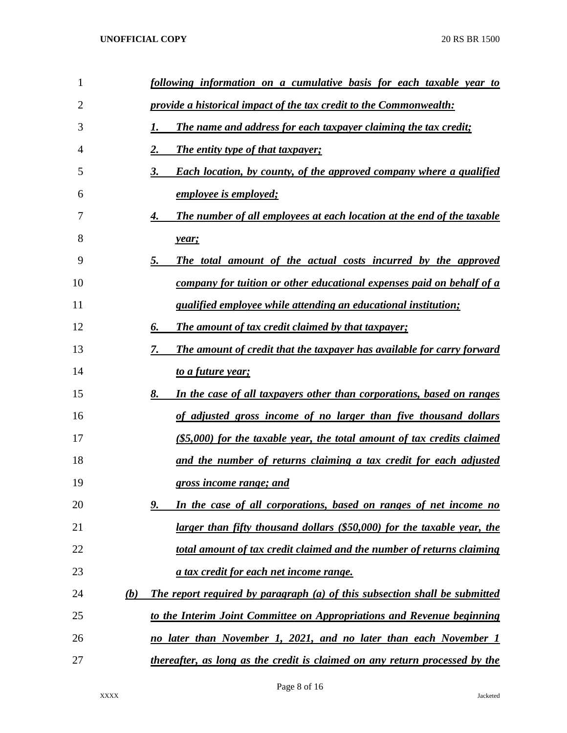| 1  | following information on a cumulative basis for each taxable year to              |
|----|-----------------------------------------------------------------------------------|
| 2  | provide a historical impact of the tax credit to the Commonwealth:                |
| 3  | The name and address for each taxpayer claiming the tax credit;<br>I.             |
| 4  | The entity type of that taxpayer;<br>2.                                           |
| 5  | <b>Each location, by county, of the approved company where a qualified</b><br>3.  |
| 6  | <u>employee is employed;</u>                                                      |
| 7  | The number of all employees at each location at the end of the taxable<br>4.      |
| 8  | year;                                                                             |
| 9  | The total amount of the actual costs incurred by the approved<br>5.               |
| 10 | company for tuition or other educational expenses paid on behalf of a             |
| 11 | <i>qualified employee while attending an educational institution;</i>             |
| 12 | <b>The amount of tax credit claimed by that taxpayer;</b><br>6.                   |
| 13 | The amount of credit that the taxpayer has available for carry forward<br>7.      |
| 14 | <u>to a future year;</u>                                                          |
| 15 | In the case of all taxpayers other than corporations, based on ranges<br>8.       |
| 16 | of adjusted gross income of no larger than five thousand dollars                  |
| 17 | $(S5,000)$ for the taxable year, the total amount of tax credits claimed          |
| 18 | and the number of returns claiming a tax credit for each adjusted                 |
| 19 | gross income range; and                                                           |
| 20 | In the case of all corporations, based on ranges of net income no<br>9.           |
| 21 | larger than fifty thousand dollars (\$50,000) for the taxable year, the           |
| 22 | total amount of tax credit claimed and the number of returns claiming             |
| 23 | a tax credit for each net income range.                                           |
| 24 | The report required by paragraph (a) of this subsection shall be submitted<br>(b) |
| 25 | to the Interim Joint Committee on Appropriations and Revenue beginning            |
| 26 | no later than November 1, 2021, and no later than each November 1                 |
| 27 | thereafter, as long as the credit is claimed on any return processed by the       |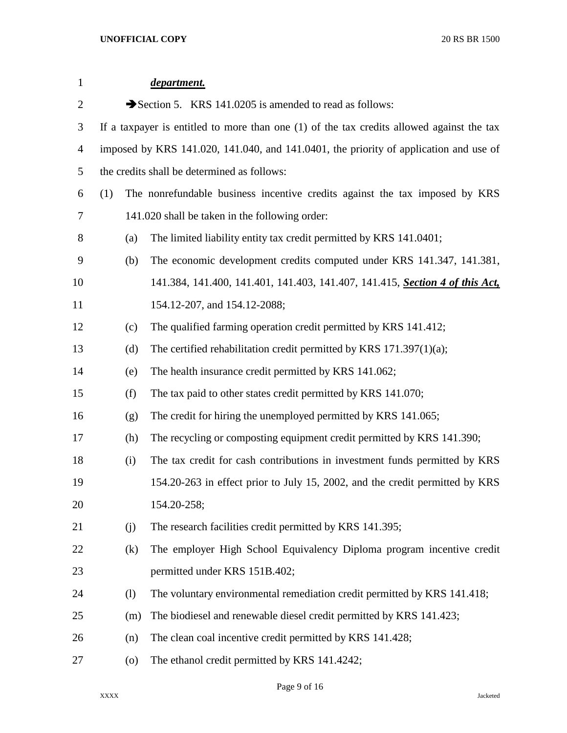| $\mathbf{1}$   |     |                    | department.                                                                                 |
|----------------|-----|--------------------|---------------------------------------------------------------------------------------------|
| $\overline{2}$ |     |                    | Section 5. KRS 141.0205 is amended to read as follows:                                      |
| 3              |     |                    | If a taxpayer is entitled to more than one $(1)$ of the tax credits allowed against the tax |
| 4              |     |                    | imposed by KRS 141.020, 141.040, and 141.0401, the priority of application and use of       |
| 5              |     |                    | the credits shall be determined as follows:                                                 |
| 6              | (1) |                    | The nonrefundable business incentive credits against the tax imposed by KRS                 |
| 7              |     |                    | 141.020 shall be taken in the following order:                                              |
| 8              |     | (a)                | The limited liability entity tax credit permitted by KRS 141.0401;                          |
| 9              |     | (b)                | The economic development credits computed under KRS 141.347, 141.381,                       |
| 10             |     |                    | 141.384, 141.400, 141.401, 141.403, 141.407, 141.415, Section 4 of this Act,                |
| 11             |     |                    | 154.12-207, and 154.12-2088;                                                                |
| 12             |     | (c)                | The qualified farming operation credit permitted by KRS 141.412;                            |
| 13             |     | (d)                | The certified rehabilitation credit permitted by KRS $171.397(1)(a)$ ;                      |
| 14             |     | (e)                | The health insurance credit permitted by KRS 141.062;                                       |
| 15             |     | (f)                | The tax paid to other states credit permitted by KRS 141.070;                               |
| 16             |     | (g)                | The credit for hiring the unemployed permitted by KRS 141.065;                              |
| 17             |     | (h)                | The recycling or composting equipment credit permitted by KRS 141.390;                      |
| 18             |     | (i)                | The tax credit for cash contributions in investment funds permitted by KRS                  |
| 19             |     |                    | 154.20-263 in effect prior to July 15, 2002, and the credit permitted by KRS                |
| 20             |     |                    | 154.20-258;                                                                                 |
| 21             |     | (j)                | The research facilities credit permitted by KRS 141.395;                                    |
| 22             |     | (k)                | The employer High School Equivalency Diploma program incentive credit                       |
| 23             |     |                    | permitted under KRS 151B.402;                                                               |
| 24             |     | (1)                | The voluntary environmental remediation credit permitted by KRS 141.418;                    |
| 25             |     | (m)                | The biodiesel and renewable diesel credit permitted by KRS 141.423;                         |
| 26             |     | (n)                | The clean coal incentive credit permitted by KRS 141.428;                                   |
| 27             |     | $\left( 0 \right)$ | The ethanol credit permitted by KRS 141.4242;                                               |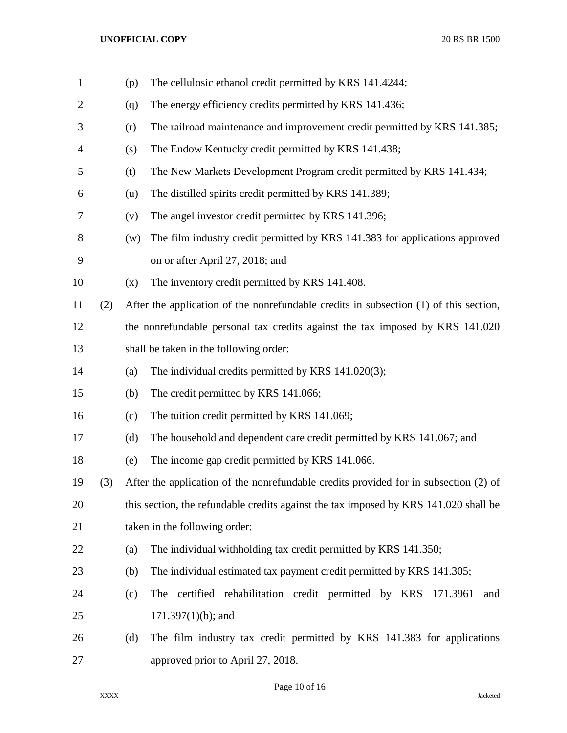| $\mathbf{1}$ |     | (p) | The cellulosic ethanol credit permitted by KRS 141.4244;                              |
|--------------|-----|-----|---------------------------------------------------------------------------------------|
| 2            |     | (q) | The energy efficiency credits permitted by KRS 141.436;                               |
| 3            |     | (r) | The railroad maintenance and improvement credit permitted by KRS 141.385;             |
| 4            |     | (s) | The Endow Kentucky credit permitted by KRS 141.438;                                   |
| 5            |     | (t) | The New Markets Development Program credit permitted by KRS 141.434;                  |
| 6            |     | (u) | The distilled spirits credit permitted by KRS 141.389;                                |
| 7            |     | (v) | The angel investor credit permitted by KRS 141.396;                                   |
| 8            |     | (w) | The film industry credit permitted by KRS 141.383 for applications approved           |
| 9            |     |     | on or after April 27, 2018; and                                                       |
| 10           |     | (x) | The inventory credit permitted by KRS 141.408.                                        |
| 11           | (2) |     | After the application of the nonrefundable credits in subsection (1) of this section, |
| 12           |     |     | the nonrefundable personal tax credits against the tax imposed by KRS 141.020         |
| 13           |     |     | shall be taken in the following order:                                                |
| 14           |     | (a) | The individual credits permitted by KRS 141.020(3);                                   |
| 15           |     | (b) | The credit permitted by KRS 141.066;                                                  |
| 16           |     | (c) | The tuition credit permitted by KRS 141.069;                                          |
| 17           |     | (d) | The household and dependent care credit permitted by KRS 141.067; and                 |
| 18           |     | (e) | The income gap credit permitted by KRS 141.066.                                       |
| 19           | (3) |     | After the application of the nonrefundable credits provided for in subsection (2) of  |
| 20           |     |     | this section, the refundable credits against the tax imposed by KRS 141.020 shall be  |
| 21           |     |     | taken in the following order:                                                         |
| 22           |     | (a) | The individual withholding tax credit permitted by KRS 141.350;                       |
| 23           |     | (b) | The individual estimated tax payment credit permitted by KRS 141.305;                 |
| 24           |     | (c) | The certified rehabilitation credit permitted by KRS<br>171.3961<br>and               |
| 25           |     |     | $171.397(1)(b)$ ; and                                                                 |
| 26           |     | (d) | The film industry tax credit permitted by KRS 141.383 for applications                |
| 27           |     |     | approved prior to April 27, 2018.                                                     |

Page 10 of 16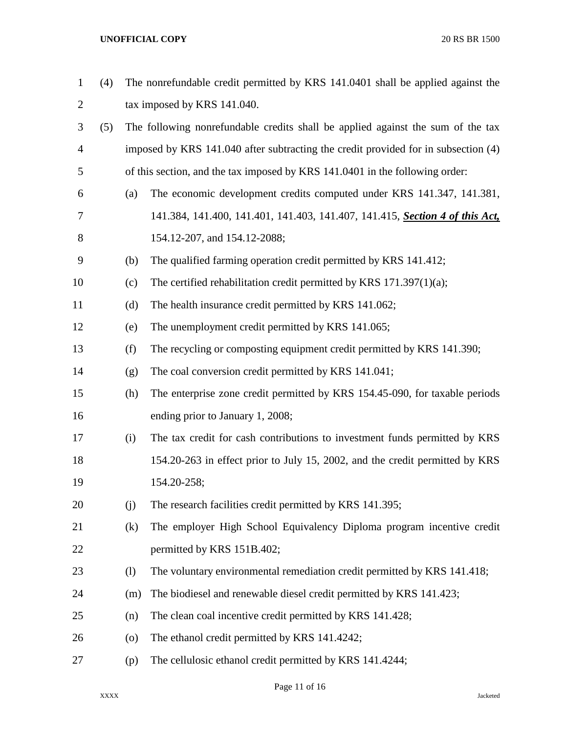| $\mathbf{1}$   | (4) |                    | The nonrefundable credit permitted by KRS 141.0401 shall be applied against the    |
|----------------|-----|--------------------|------------------------------------------------------------------------------------|
| 2              |     |                    | tax imposed by KRS 141.040.                                                        |
| 3              | (5) |                    | The following nonrefundable credits shall be applied against the sum of the tax    |
| $\overline{4}$ |     |                    | imposed by KRS 141.040 after subtracting the credit provided for in subsection (4) |
| 5              |     |                    | of this section, and the tax imposed by KRS 141.0401 in the following order:       |
| 6              |     | (a)                | The economic development credits computed under KRS 141.347, 141.381,              |
| 7              |     |                    | 141.384, 141.400, 141.401, 141.403, 141.407, 141.415, Section 4 of this Act,       |
| 8              |     |                    | 154.12-207, and 154.12-2088;                                                       |
| 9              |     | (b)                | The qualified farming operation credit permitted by KRS 141.412;                   |
| 10             |     | (c)                | The certified rehabilitation credit permitted by KRS $171.397(1)(a)$ ;             |
| 11             |     | (d)                | The health insurance credit permitted by KRS 141.062;                              |
| 12             |     | (e)                | The unemployment credit permitted by KRS 141.065;                                  |
| 13             |     | (f)                | The recycling or composting equipment credit permitted by KRS 141.390;             |
| 14             |     | (g)                | The coal conversion credit permitted by KRS 141.041;                               |
| 15             |     | (h)                | The enterprise zone credit permitted by KRS 154.45-090, for taxable periods        |
| 16             |     |                    | ending prior to January 1, 2008;                                                   |
| 17             |     | (i)                | The tax credit for cash contributions to investment funds permitted by KRS         |
| 18             |     |                    | 154.20-263 in effect prior to July 15, 2002, and the credit permitted by KRS       |
| 19             |     |                    | 154.20-258;                                                                        |
| 20             |     | (i)                | The research facilities credit permitted by KRS 141.395;                           |
| 21             |     | (k)                | The employer High School Equivalency Diploma program incentive credit              |
| 22             |     |                    | permitted by KRS 151B.402;                                                         |
| 23             |     | (1)                | The voluntary environmental remediation credit permitted by KRS 141.418;           |
| 24             |     | (m)                | The biodiesel and renewable diesel credit permitted by KRS 141.423;                |
| 25             |     | (n)                | The clean coal incentive credit permitted by KRS 141.428;                          |
| 26             |     | $\left( 0 \right)$ | The ethanol credit permitted by KRS 141.4242;                                      |
| 27             |     | (p)                | The cellulosic ethanol credit permitted by KRS 141.4244;                           |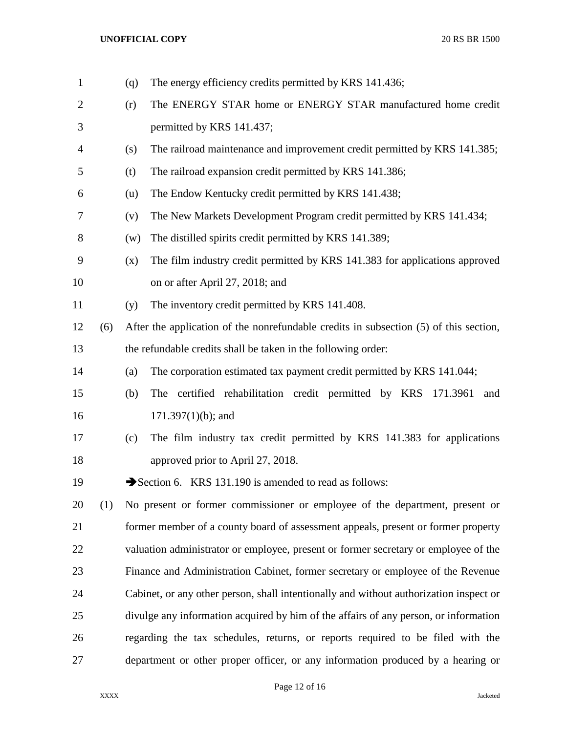| $\mathbf{1}$ |     | (q) | The energy efficiency credits permitted by KRS 141.436;                                |
|--------------|-----|-----|----------------------------------------------------------------------------------------|
| 2            |     | (r) | The ENERGY STAR home or ENERGY STAR manufactured home credit                           |
| 3            |     |     | permitted by KRS 141.437;                                                              |
| 4            |     | (s) | The railroad maintenance and improvement credit permitted by KRS 141.385;              |
| 5            |     | (t) | The railroad expansion credit permitted by KRS 141.386;                                |
| 6            |     | (u) | The Endow Kentucky credit permitted by KRS 141.438;                                    |
| 7            |     | (v) | The New Markets Development Program credit permitted by KRS 141.434;                   |
| 8            |     | (w) | The distilled spirits credit permitted by KRS 141.389;                                 |
| 9            |     | (x) | The film industry credit permitted by KRS 141.383 for applications approved            |
| 10           |     |     | on or after April 27, 2018; and                                                        |
| 11           |     | (y) | The inventory credit permitted by KRS 141.408.                                         |
| 12           | (6) |     | After the application of the nonrefundable credits in subsection (5) of this section,  |
| 13           |     |     | the refundable credits shall be taken in the following order:                          |
| 14           |     | (a) | The corporation estimated tax payment credit permitted by KRS 141.044;                 |
| 15           |     | (b) | The certified rehabilitation credit permitted by KRS 171.3961<br>and                   |
| 16           |     |     | $171.397(1)(b)$ ; and                                                                  |
| 17           |     | (c) | The film industry tax credit permitted by KRS 141.383 for applications                 |
| 18           |     |     | approved prior to April 27, 2018.                                                      |
| 19           |     |     | Section 6. KRS 131.190 is amended to read as follows:                                  |
| 20           | (1) |     | No present or former commissioner or employee of the department, present or            |
| 21           |     |     | former member of a county board of assessment appeals, present or former property      |
| 22           |     |     | valuation administrator or employee, present or former secretary or employee of the    |
| 23           |     |     | Finance and Administration Cabinet, former secretary or employee of the Revenue        |
| 24           |     |     | Cabinet, or any other person, shall intentionally and without authorization inspect or |
| 25           |     |     | divulge any information acquired by him of the affairs of any person, or information   |
| 26           |     |     | regarding the tax schedules, returns, or reports required to be filed with the         |
| 27           |     |     | department or other proper officer, or any information produced by a hearing or        |

Page 12 of 16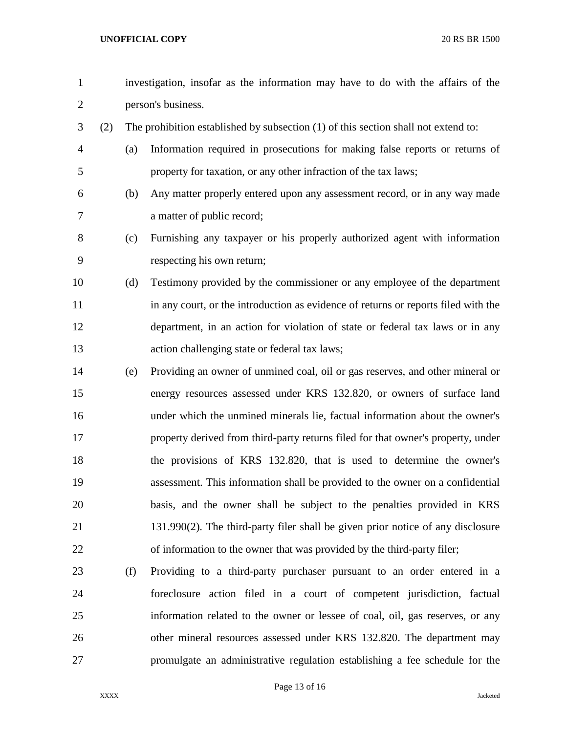- investigation, insofar as the information may have to do with the affairs of the person's business. (2) The prohibition established by subsection (1) of this section shall not extend to: (a) Information required in prosecutions for making false reports or returns of property for taxation, or any other infraction of the tax laws; (b) Any matter properly entered upon any assessment record, or in any way made a matter of public record; (c) Furnishing any taxpayer or his properly authorized agent with information respecting his own return; (d) Testimony provided by the commissioner or any employee of the department in any court, or the introduction as evidence of returns or reports filed with the department, in an action for violation of state or federal tax laws or in any action challenging state or federal tax laws; (e) Providing an owner of unmined coal, oil or gas reserves, and other mineral or energy resources assessed under KRS 132.820, or owners of surface land under which the unmined minerals lie, factual information about the owner's property derived from third-party returns filed for that owner's property, under the provisions of KRS 132.820, that is used to determine the owner's assessment. This information shall be provided to the owner on a confidential basis, and the owner shall be subject to the penalties provided in KRS 131.990(2). The third-party filer shall be given prior notice of any disclosure of information to the owner that was provided by the third-party filer; (f) Providing to a third-party purchaser pursuant to an order entered in a foreclosure action filed in a court of competent jurisdiction, factual information related to the owner or lessee of coal, oil, gas reserves, or any other mineral resources assessed under KRS 132.820. The department may
- promulgate an administrative regulation establishing a fee schedule for the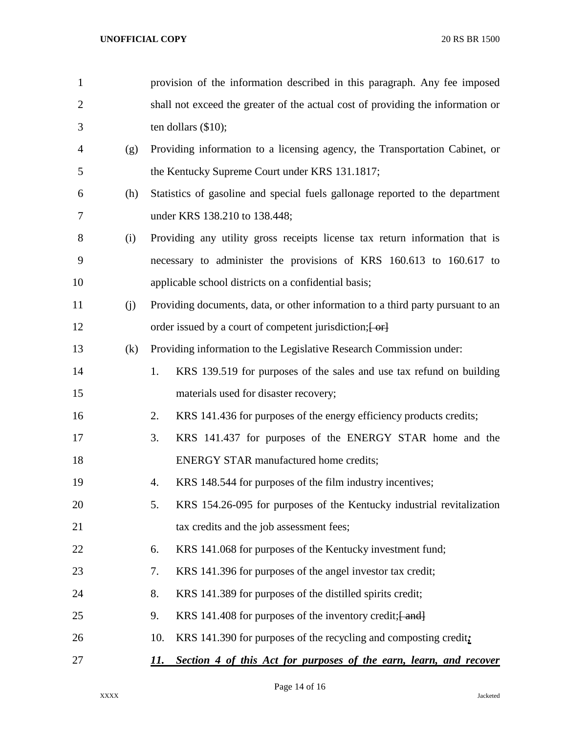| $\mathbf{1}$   |     | provision of the information described in this paragraph. Any fee imposed       |
|----------------|-----|---------------------------------------------------------------------------------|
| $\overline{2}$ |     | shall not exceed the greater of the actual cost of providing the information or |
| 3              |     | ten dollars $(\$10)$ ;                                                          |
| 4              | (g) | Providing information to a licensing agency, the Transportation Cabinet, or     |
| 5              |     | the Kentucky Supreme Court under KRS 131.1817;                                  |
| 6              | (h) | Statistics of gasoline and special fuels gallonage reported to the department   |
| 7              |     | under KRS 138.210 to 138.448;                                                   |
| 8              | (i) | Providing any utility gross receipts license tax return information that is     |
| 9              |     | necessary to administer the provisions of KRS 160.613 to 160.617 to             |
| 10             |     | applicable school districts on a confidential basis;                            |
| 11             | (j) | Providing documents, data, or other information to a third party pursuant to an |
| 12             |     | order issued by a court of competent jurisdiction; [-or]                        |
| 13             | (k) | Providing information to the Legislative Research Commission under:             |
| 14             |     | 1.<br>KRS 139.519 for purposes of the sales and use tax refund on building      |
| 15             |     | materials used for disaster recovery;                                           |
| 16             |     | 2.<br>KRS 141.436 for purposes of the energy efficiency products credits;       |
| 17             |     | 3.<br>KRS 141.437 for purposes of the ENERGY STAR home and the                  |
| 18             |     | <b>ENERGY STAR manufactured home credits;</b>                                   |
| 19             |     | KRS 148.544 for purposes of the film industry incentives;<br>4.                 |
| 20             |     | 5.<br>KRS 154.26-095 for purposes of the Kentucky industrial revitalization     |
| 21             |     | tax credits and the job assessment fees;                                        |
| 22             |     | KRS 141.068 for purposes of the Kentucky investment fund;<br>6.                 |
| 23             |     | KRS 141.396 for purposes of the angel investor tax credit;<br>7.                |
| 24             |     | 8.<br>KRS 141.389 for purposes of the distilled spirits credit;                 |
| 25             |     | 9.<br>KRS 141.408 for purposes of the inventory credit; [ and]                  |
| 26             |     | 10.<br>KRS 141.390 for purposes of the recycling and composting credit;         |
| 27             |     | Section 4 of this Act for purposes of the earn, learn, and recover<br>11.       |

Page 14 of 16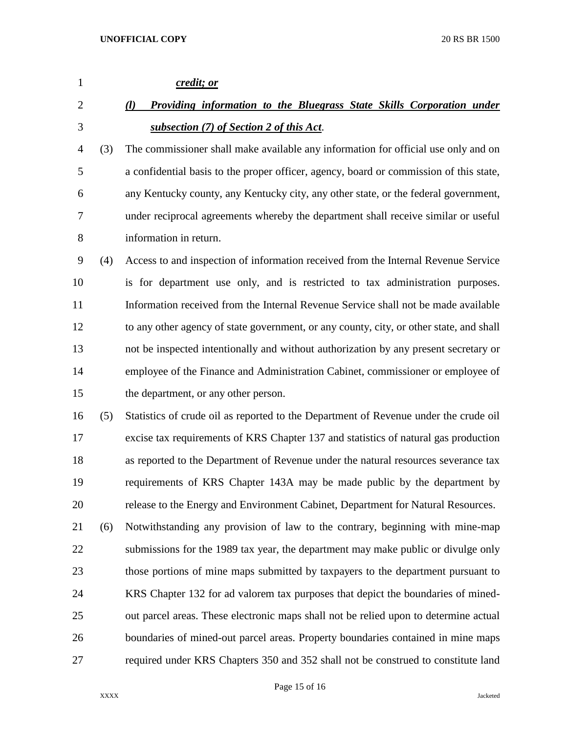| $\mathbf{1}$   |     | credit; or                                                                              |
|----------------|-----|-----------------------------------------------------------------------------------------|
| $\overline{2}$ |     | Providing information to the Bluegrass State Skills Corporation under<br>$\mathcal{U}$  |
| 3              |     | subsection (7) of Section 2 of this Act.                                                |
| 4              | (3) | The commissioner shall make available any information for official use only and on      |
| 5              |     | a confidential basis to the proper officer, agency, board or commission of this state,  |
| 6              |     | any Kentucky county, any Kentucky city, any other state, or the federal government,     |
| 7              |     | under reciprocal agreements whereby the department shall receive similar or useful      |
| 8              |     | information in return.                                                                  |
| 9              | (4) | Access to and inspection of information received from the Internal Revenue Service      |
| 10             |     | is for department use only, and is restricted to tax administration purposes.           |
| 11             |     | Information received from the Internal Revenue Service shall not be made available      |
| 12             |     | to any other agency of state government, or any county, city, or other state, and shall |
| 13             |     | not be inspected intentionally and without authorization by any present secretary or    |
| 14             |     | employee of the Finance and Administration Cabinet, commissioner or employee of         |
| 15             |     | the department, or any other person.                                                    |
| 16             | (5) | Statistics of crude oil as reported to the Department of Revenue under the crude oil    |
| 17             |     | excise tax requirements of KRS Chapter 137 and statistics of natural gas production     |
| 18             |     | as reported to the Department of Revenue under the natural resources severance tax      |
| 19             |     | requirements of KRS Chapter 143A may be made public by the department by                |
| 20             |     | release to the Energy and Environment Cabinet, Department for Natural Resources.        |
| 21             | (6) | Notwithstanding any provision of law to the contrary, beginning with mine-map           |
| 22             |     | submissions for the 1989 tax year, the department may make public or divulge only       |
| 23             |     | those portions of mine maps submitted by taxpayers to the department pursuant to        |
| 24             |     | KRS Chapter 132 for ad valorem tax purposes that depict the boundaries of mined-        |
| 25             |     | out parcel areas. These electronic maps shall not be relied upon to determine actual    |
| 26             |     | boundaries of mined-out parcel areas. Property boundaries contained in mine maps        |
| 27             |     | required under KRS Chapters 350 and 352 shall not be construed to constitute land       |